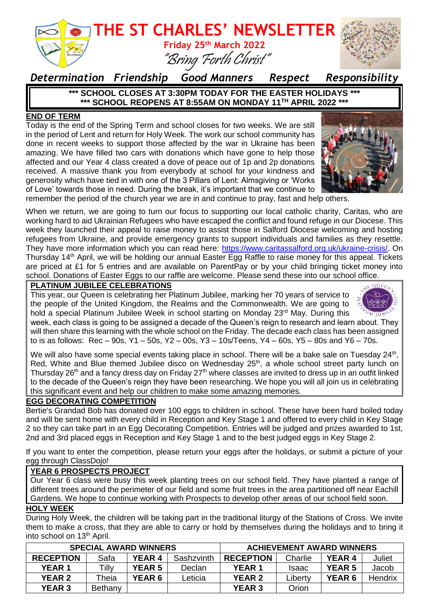

### *Determination Friendship Good Manners Respect Responsibility*

**\*\*\* SCHOOL CLOSES AT 3:30PM TODAY FOR THE EASTER HOLIDAYS \*\*\* \*\*\* SCHOOL REOPENS AT 8:55AM ON MONDAY 11TH APRIL 2022 \*\*\***

### **END OF TERM**

Today is the end of the Spring Term and school closes for two weeks. We are still in the period of Lent and return for Holy Week. The work our school community has done in recent weeks to support those affected by the war in Ukraine has been amazing. We have filled two cars with donations which have gone to help those affected and our Year 4 class created a dove of peace out of 1p and 2p donations received. A massive thank you from everybody at school for your kindness and generosity which have tied in with one of the 3 Pillars of Lent: Almsgiving or 'Works of Love' towards those in need. During the break, it's important that we continue to



remember the period of the church year we are in and continue to pray, fast and help others.

When we return, we are going to turn our focus to supporting our local catholic charity, Caritas, who are working hard to aid Ukrainian Refugees who have escaped the conflict and found refuge in our Diocese. This week they launched their appeal to raise money to assist those in Salford Diocese welcoming and hosting refugees from Ukraine, and provide emergency grants to support individuals and families as they resettle. They have more information which you can read here: [https://www.caritassalford.org.uk/ukraine-crisis/.](https://www.caritassalford.org.uk/ukraine-crisis/) On Thursday 14th April, we will be holding our annual Easter Egg Raffle to raise money for this appeal. Tickets are priced at £1 for 5 entries and are available on ParentPay or by your child bringing ticket money into school. Donations of Easter Eggs to our raffle are welcome. Please send these into our school office.

### **PLATINUM JUBILEE CELEBRATIONS**

This year, our Queen is celebrating her Platinum Jubilee, marking her 70 years of service to the people of the United Kingdom, the Realms and the Commonwealth. We are going to hold a special Platinum Jubilee Week in school starting on Monday 23<sup>rd</sup> May. During this



week, each class is going to be assigned a decade of the Queen's reign to research and learn about. They will then share this learning with the whole school on the Friday. The decade each class has been assigned to is as follows:  $\text{Rec} - 90\text{s}$ ,  $\text{Y1} - 50\text{s}$ ,  $\text{Y2} - 00\text{s}$ ,  $\text{Y3} - 10\text{s}$ /Teens,  $\text{Y4} - 60\text{s}$ ,  $\text{Y5} - 80\text{s}$  and  $\text{Y6} - 70\text{s}$ .

We will also have some special events taking place in school. There will be a bake sale on Tuesday 24<sup>th</sup>, Red, White and Blue themed Jubilee disco on Wednesday 25<sup>th</sup>, a whole school street party lunch on Thursday 26<sup>th</sup> and a fancy dress day on Friday 27<sup>th</sup> where classes are invited to dress up in an outfit linked to the decade of the Queen's reign they have been researching. We hope you will all join us in celebrating this significant event and help our children to make some amazing memories.

### **EGG DECORATING COMPETITION**

Bertie's Grandad Bob has donated over 100 eggs to children in school. These have been hard boiled today and will be sent home with every child in Reception and Key Stage 1 and offered to every child in Key Stage 2 so they can take part in an Egg Decorating Competition. Entries will be judged and prizes awarded to 1st, 2nd and 3rd placed eggs in Reception and Key Stage 1 and to the best judged eggs in Key Stage 2.

If you want to enter the competition, please return your eggs after the holidays, or submit a picture of your egg through ClassDojo!

### **YEAR 6 PROSPECTS PROJECT**

Our Year 6 class were busy this week planting trees on our school field. They have planted a range of different trees around the perimeter of our field and some fruit trees in the area partitioned off near Eachill Gardens. We hope to continue working with Prospects to develop other areas of our school field soon.

### **HOLY WEEK**

During Holy Week, the children will be taking part in the traditional liturgy of the Stations of Cross. We invite them to make a cross, that they are able to carry or hold by themselves during the holidays and to bring it into school on 13<sup>th</sup> April.

| <b>SPECIAL AWARD WINNERS</b> |         |               |            | <b>ACHIEVEMENT AWARD WINNERS</b> |              |               |                |
|------------------------------|---------|---------------|------------|----------------------------------|--------------|---------------|----------------|
| <b>RECEPTION</b>             | Safa    | YEAR 4        | Sashzvinth | <b>RECEPTION</b>                 | Charlie      | YEAR 4        | Juliet         |
| <b>YEAR 1</b>                | Tilly   | <b>YEAR 5</b> | Declan     | <b>YEAR 1</b>                    | <b>Isaac</b> | <b>YEAR 5</b> | Jacob          |
| <b>YEAR 2</b>                | Theia   | <b>YEAR 6</b> | Leticia    | <b>YEAR 2</b>                    | Liberty      | <b>YEAR 6</b> | <b>Hendrix</b> |
| <b>YEAR 3</b>                | Bethany |               |            | <b>YEAR 3</b>                    | Orion        |               |                |